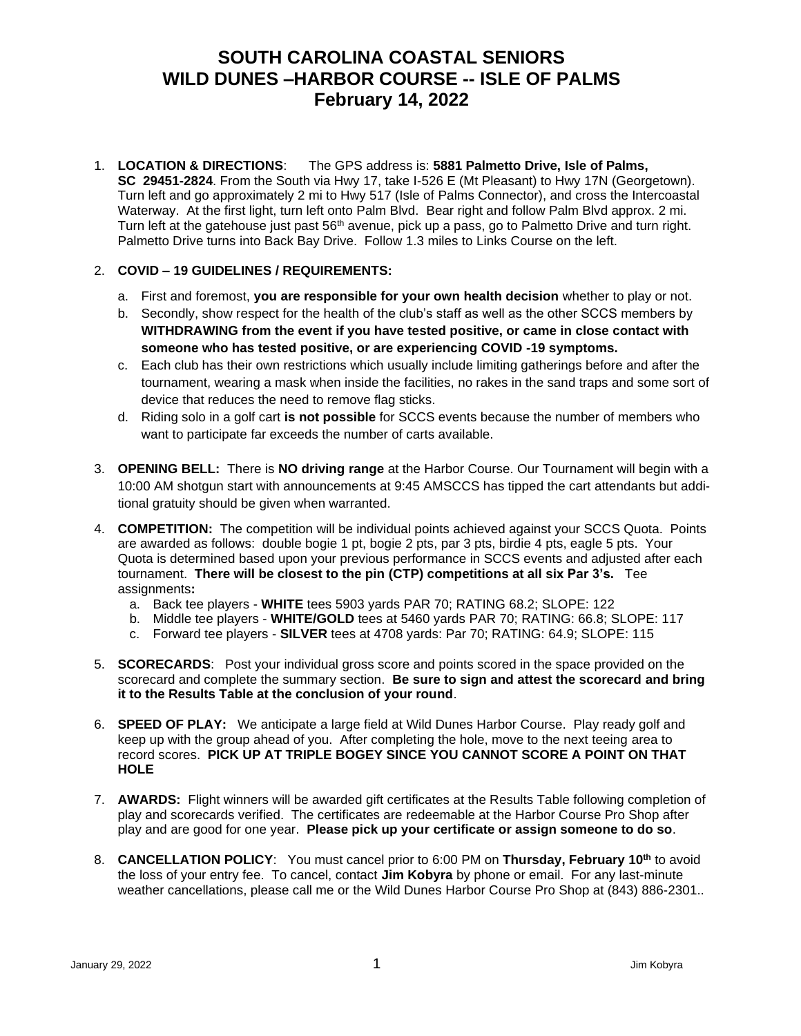## **SOUTH CAROLINA COASTAL SENIORS WILD DUNES –HARBOR COURSE -- ISLE OF PALMS February 14, 2022**

1. **LOCATION & DIRECTIONS**: The GPS address is: **5881 Palmetto Drive, Isle of Palms, SC 29451-2824**. From the South via Hwy 17, take I-526 E (Mt Pleasant) to Hwy 17N (Georgetown). Turn left and go approximately 2 mi to Hwy 517 (Isle of Palms Connector), and cross the Intercoastal Waterway. At the first light, turn left onto Palm Blvd. Bear right and follow Palm Blvd approx. 2 mi. Turn left at the gatehouse just past  $56<sup>th</sup>$  avenue, pick up a pass, go to Palmetto Drive and turn right. Palmetto Drive turns into Back Bay Drive. Follow 1.3 miles to Links Course on the left.

## 2. **COVID – 19 GUIDELINES / REQUIREMENTS:**

- a. First and foremost, **you are responsible for your own health decision** whether to play or not.
- b. Secondly, show respect for the health of the club's staff as well as the other SCCS members by **WITHDRAWING from the event if you have tested positive, or came in close contact with someone who has tested positive, or are experiencing COVID -19 symptoms.**
- c. Each club has their own restrictions which usually include limiting gatherings before and after the tournament, wearing a mask when inside the facilities, no rakes in the sand traps and some sort of device that reduces the need to remove flag sticks.
- d. Riding solo in a golf cart **is not possible** for SCCS events because the number of members who want to participate far exceeds the number of carts available.
- 3. **OPENING BELL:** There is **NO driving range** at the Harbor Course. Our Tournament will begin with a 10:00 AM shotgun start with announcements at 9:45 AMSCCS has tipped the cart attendants but additional gratuity should be given when warranted.
- 4. **COMPETITION:** The competition will be individual points achieved against your SCCS Quota. Points are awarded as follows: double bogie 1 pt, bogie 2 pts, par 3 pts, birdie 4 pts, eagle 5 pts. Your Quota is determined based upon your previous performance in SCCS events and adjusted after each tournament. **There will be closest to the pin (CTP) competitions at all six Par 3's.** Tee assignments**:**
	- a. Back tee players **WHITE** tees 5903 yards PAR 70; RATING 68.2; SLOPE: 122
	- b. Middle tee players **WHITE/GOLD** tees at 5460 yards PAR 70; RATING: 66.8; SLOPE: 117
	- c. Forward tee players **SILVER** tees at 4708 yards: Par 70; RATING: 64.9; SLOPE: 115
- 5. **SCORECARDS**: Post your individual gross score and points scored in the space provided on the scorecard and complete the summary section. **Be sure to sign and attest the scorecard and bring it to the Results Table at the conclusion of your round**.
- 6. **SPEED OF PLAY:** We anticipate a large field at Wild Dunes Harbor Course. Play ready golf and keep up with the group ahead of you. After completing the hole, move to the next teeing area to record scores. **PICK UP AT TRIPLE BOGEY SINCE YOU CANNOT SCORE A POINT ON THAT HOLE**
- 7. **AWARDS:** Flight winners will be awarded gift certificates at the Results Table following completion of play and scorecards verified. The certificates are redeemable at the Harbor Course Pro Shop after play and are good for one year. **Please pick up your certificate or assign someone to do so**.
- 8. **CANCELLATION POLICY**: You must cancel prior to 6:00 PM on **Thursday, February 10th** to avoid the loss of your entry fee. To cancel, contact **Jim Kobyra** by phone or email. For any last-minute weather cancellations, please call me or the Wild Dunes Harbor Course Pro Shop at (843) 886-2301..